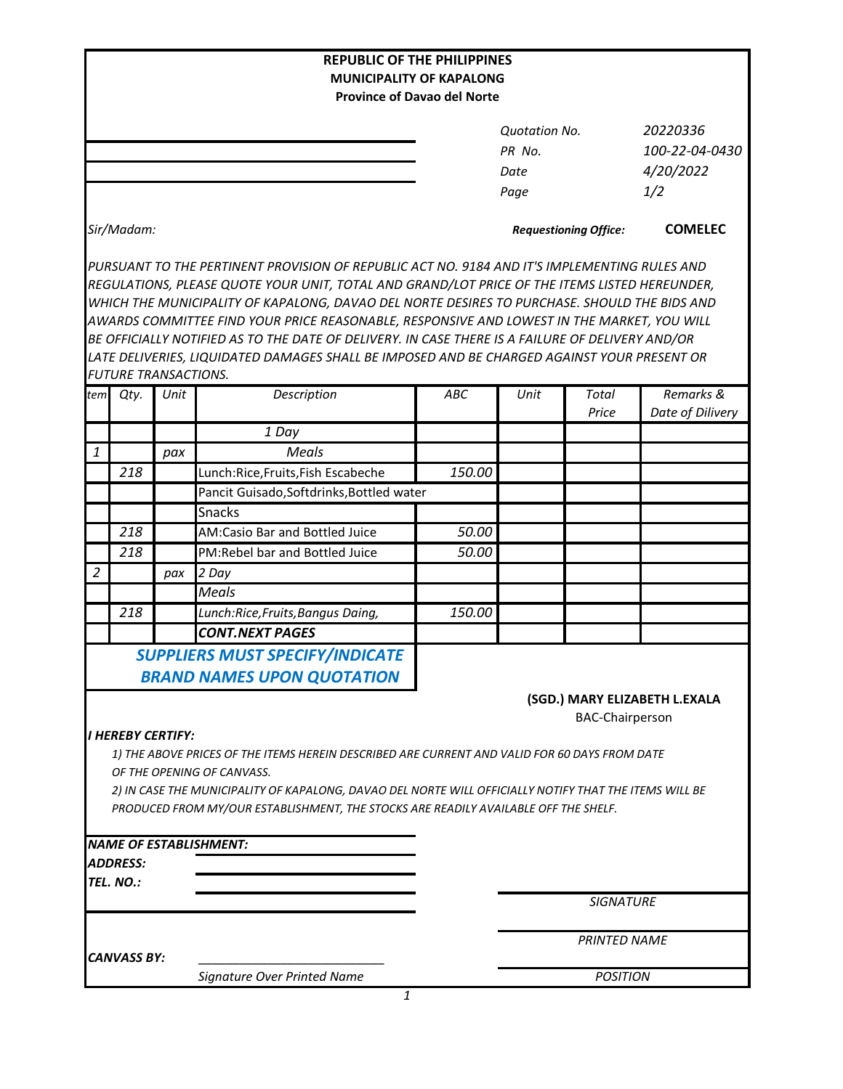|                                 |                             |      | <b>REPUBLIC OF THE PHILIPPINES</b>                                                                                                                                                            |                                    |                              |                        |                               |  |  |  |
|---------------------------------|-----------------------------|------|-----------------------------------------------------------------------------------------------------------------------------------------------------------------------------------------------|------------------------------------|------------------------------|------------------------|-------------------------------|--|--|--|
| <b>MUNICIPALITY OF KAPALONG</b> |                             |      |                                                                                                                                                                                               |                                    |                              |                        |                               |  |  |  |
|                                 |                             |      |                                                                                                                                                                                               | <b>Province of Davao del Norte</b> |                              |                        |                               |  |  |  |
|                                 |                             |      |                                                                                                                                                                                               |                                    | <b>Quotation No.</b>         |                        | 20220336                      |  |  |  |
|                                 |                             |      |                                                                                                                                                                                               |                                    | PR No.                       | 100-22-04-0430         |                               |  |  |  |
|                                 |                             |      |                                                                                                                                                                                               |                                    | Date                         |                        | 4/20/2022                     |  |  |  |
|                                 |                             |      |                                                                                                                                                                                               |                                    | Page                         |                        | 1/2                           |  |  |  |
|                                 | Sir/Madam:                  |      |                                                                                                                                                                                               |                                    | <b>Requestioning Office:</b> |                        | <b>COMELEC</b>                |  |  |  |
|                                 |                             |      | PURSUANT TO THE PERTINENT PROVISION OF REPUBLIC ACT NO. 9184 AND IT'S IMPLEMENTING RULES AND                                                                                                  |                                    |                              |                        |                               |  |  |  |
|                                 |                             |      | REGULATIONS, PLEASE QUOTE YOUR UNIT, TOTAL AND GRAND/LOT PRICE OF THE ITEMS LISTED HEREUNDER,<br>WHICH THE MUNICIPALITY OF KAPALONG, DAVAO DEL NORTE DESIRES TO PURCHASE. SHOULD THE BIDS AND |                                    |                              |                        |                               |  |  |  |
|                                 |                             |      | AWARDS COMMITTEE FIND YOUR PRICE REASONABLE, RESPONSIVE AND LOWEST IN THE MARKET, YOU WILL                                                                                                    |                                    |                              |                        |                               |  |  |  |
|                                 |                             |      | BE OFFICIALLY NOTIFIED AS TO THE DATE OF DELIVERY. IN CASE THERE IS A FAILURE OF DELIVERY AND/OR                                                                                              |                                    |                              |                        |                               |  |  |  |
|                                 |                             |      | LATE DELIVERIES, LIQUIDATED DAMAGES SHALL BE IMPOSED AND BE CHARGED AGAINST YOUR PRESENT OR                                                                                                   |                                    |                              |                        |                               |  |  |  |
|                                 | <b>FUTURE TRANSACTIONS.</b> |      |                                                                                                                                                                                               |                                    |                              |                        |                               |  |  |  |
| tem                             | Qty.                        | Unit | Description                                                                                                                                                                                   | ABC                                | Unit                         | Total<br>Price         | Remarks &<br>Date of Dilivery |  |  |  |
|                                 |                             |      | 1 Day                                                                                                                                                                                         |                                    |                              |                        |                               |  |  |  |
| 1                               |                             | pax  | Meals                                                                                                                                                                                         |                                    |                              |                        |                               |  |  |  |
|                                 | 218                         |      | Lunch:Rice, Fruits, Fish Escabeche                                                                                                                                                            | 150.00                             |                              |                        |                               |  |  |  |
|                                 |                             |      | Pancit Guisado, Softdrinks, Bottled water                                                                                                                                                     |                                    |                              |                        |                               |  |  |  |
|                                 |                             |      | <b>Snacks</b>                                                                                                                                                                                 |                                    |                              |                        |                               |  |  |  |
|                                 | 218                         |      | AM:Casio Bar and Bottled Juice                                                                                                                                                                | 50.00                              |                              |                        |                               |  |  |  |
|                                 | 218                         |      | PM:Rebel bar and Bottled Juice                                                                                                                                                                | 50.00                              |                              |                        |                               |  |  |  |
| $\overline{2}$                  |                             | pax  | 2 Day                                                                                                                                                                                         |                                    |                              |                        |                               |  |  |  |
|                                 |                             |      | <b>Meals</b>                                                                                                                                                                                  |                                    |                              |                        |                               |  |  |  |
|                                 | 218                         |      | Lunch:Rice, Fruits, Bangus Daing,                                                                                                                                                             | 150.00                             |                              |                        |                               |  |  |  |
|                                 |                             |      | <b>CONT.NEXT PAGES</b>                                                                                                                                                                        |                                    |                              |                        |                               |  |  |  |
|                                 |                             |      | <b>SUPPLIERS MUST SPECIFY/INDICATE</b>                                                                                                                                                        |                                    |                              |                        |                               |  |  |  |
|                                 |                             |      | <b>BRAND NAMES UPON QUOTATION</b>                                                                                                                                                             |                                    |                              |                        |                               |  |  |  |
|                                 |                             |      |                                                                                                                                                                                               |                                    |                              |                        | (SGD.) MARY ELIZABETH L.EXALA |  |  |  |
|                                 | I HEREBY CERTIFY:           |      |                                                                                                                                                                                               |                                    |                              | <b>BAC-Chairperson</b> |                               |  |  |  |
|                                 |                             |      | 1) THE ABOVE PRICES OF THE ITEMS HEREIN DESCRIBED ARE CURRENT AND VALID FOR 60 DAYS FROM DATE                                                                                                 |                                    |                              |                        |                               |  |  |  |
|                                 |                             |      | OF THE OPENING OF CANVASS.                                                                                                                                                                    |                                    |                              |                        |                               |  |  |  |
|                                 |                             |      | 2) IN CASE THE MUNICIPALITY OF KAPALONG, DAVAO DEL NORTE WILL OFFICIALLY NOTIFY THAT THE ITEMS WILL BE                                                                                        |                                    |                              |                        |                               |  |  |  |
|                                 |                             |      | PRODUCED FROM MY/OUR ESTABLISHMENT, THE STOCKS ARE READILY AVAILABLE OFF THE SHELF.                                                                                                           |                                    |                              |                        |                               |  |  |  |
|                                 |                             |      |                                                                                                                                                                                               |                                    |                              |                        |                               |  |  |  |
|                                 |                             |      | <b>NAME OF ESTABLISHMENT:</b>                                                                                                                                                                 |                                    |                              |                        |                               |  |  |  |
|                                 | <b>ADDRESS:</b>             |      |                                                                                                                                                                                               |                                    |                              |                        |                               |  |  |  |
|                                 | TEL. NO.:                   |      |                                                                                                                                                                                               |                                    |                              |                        |                               |  |  |  |
|                                 |                             |      |                                                                                                                                                                                               |                                    |                              | <b>SIGNATURE</b>       |                               |  |  |  |
|                                 |                             |      |                                                                                                                                                                                               |                                    |                              | <b>PRINTED NAME</b>    |                               |  |  |  |
|                                 | <b>CANVASS BY:</b>          |      |                                                                                                                                                                                               |                                    |                              |                        |                               |  |  |  |
|                                 |                             |      | <b>Signature Over Printed Name</b>                                                                                                                                                            |                                    | <b>POSITION</b>              |                        |                               |  |  |  |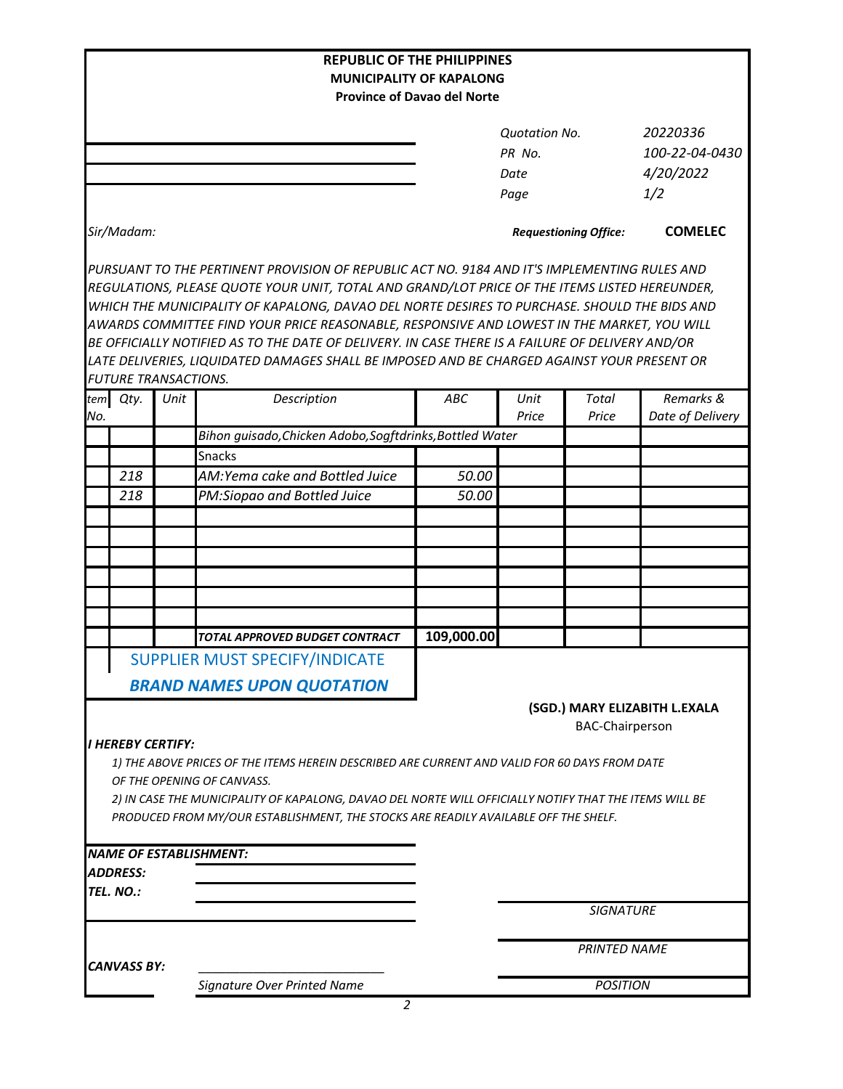| <b>REPUBLIC OF THE PHILIPPINES</b> |                                                                                                                                                                                                                                                                                                                                                                                                                                                                                                                                                                                                |                                                                       |                      |                              |                               |  |  |  |  |
|------------------------------------|------------------------------------------------------------------------------------------------------------------------------------------------------------------------------------------------------------------------------------------------------------------------------------------------------------------------------------------------------------------------------------------------------------------------------------------------------------------------------------------------------------------------------------------------------------------------------------------------|-----------------------------------------------------------------------|----------------------|------------------------------|-------------------------------|--|--|--|--|
|                                    |                                                                                                                                                                                                                                                                                                                                                                                                                                                                                                                                                                                                | <b>MUNICIPALITY OF KAPALONG</b><br><b>Province of Davao del Norte</b> |                      |                              |                               |  |  |  |  |
|                                    |                                                                                                                                                                                                                                                                                                                                                                                                                                                                                                                                                                                                |                                                                       |                      |                              |                               |  |  |  |  |
|                                    |                                                                                                                                                                                                                                                                                                                                                                                                                                                                                                                                                                                                |                                                                       | <b>Quotation No.</b> |                              | 20220336                      |  |  |  |  |
|                                    |                                                                                                                                                                                                                                                                                                                                                                                                                                                                                                                                                                                                |                                                                       | PR No.               |                              | 100-22-04-0430                |  |  |  |  |
|                                    |                                                                                                                                                                                                                                                                                                                                                                                                                                                                                                                                                                                                |                                                                       | Date                 |                              | 4/20/2022                     |  |  |  |  |
|                                    |                                                                                                                                                                                                                                                                                                                                                                                                                                                                                                                                                                                                |                                                                       | Page                 |                              | 1/2                           |  |  |  |  |
| Sir/Madam:                         |                                                                                                                                                                                                                                                                                                                                                                                                                                                                                                                                                                                                |                                                                       |                      | <b>Requestioning Office:</b> | <b>COMELEC</b>                |  |  |  |  |
|                                    | PURSUANT TO THE PERTINENT PROVISION OF REPUBLIC ACT NO. 9184 AND IT'S IMPLEMENTING RULES AND<br>REGULATIONS, PLEASE QUOTE YOUR UNIT, TOTAL AND GRAND/LOT PRICE OF THE ITEMS LISTED HEREUNDER,<br>WHICH THE MUNICIPALITY OF KAPALONG, DAVAO DEL NORTE DESIRES TO PURCHASE. SHOULD THE BIDS AND<br>AWARDS COMMITTEE FIND YOUR PRICE REASONABLE, RESPONSIVE AND LOWEST IN THE MARKET, YOU WILL<br>BE OFFICIALLY NOTIFIED AS TO THE DATE OF DELIVERY. IN CASE THERE IS A FAILURE OF DELIVERY AND/OR<br>LATE DELIVERIES, LIQUIDATED DAMAGES SHALL BE IMPOSED AND BE CHARGED AGAINST YOUR PRESENT OR |                                                                       |                      |                              |                               |  |  |  |  |
| <b>FUTURE TRANSACTIONS.</b>        |                                                                                                                                                                                                                                                                                                                                                                                                                                                                                                                                                                                                |                                                                       |                      |                              |                               |  |  |  |  |
| Qty.<br>tem<br>No.                 | Description<br>Unit                                                                                                                                                                                                                                                                                                                                                                                                                                                                                                                                                                            | ABC                                                                   | Unit<br>Price        | <b>Total</b><br>Price        | Remarks &<br>Date of Delivery |  |  |  |  |
|                                    | Bihon guisado, Chicken Adobo, Sogftdrinks, Bottled Water                                                                                                                                                                                                                                                                                                                                                                                                                                                                                                                                       |                                                                       |                      |                              |                               |  |  |  |  |
|                                    | <b>Snacks</b>                                                                                                                                                                                                                                                                                                                                                                                                                                                                                                                                                                                  |                                                                       |                      |                              |                               |  |  |  |  |
| 218                                | AM:Yema cake and Bottled Juice                                                                                                                                                                                                                                                                                                                                                                                                                                                                                                                                                                 | 50.00                                                                 |                      |                              |                               |  |  |  |  |
| 218                                | PM:Siopao and Bottled Juice                                                                                                                                                                                                                                                                                                                                                                                                                                                                                                                                                                    | 50.00                                                                 |                      |                              |                               |  |  |  |  |
|                                    |                                                                                                                                                                                                                                                                                                                                                                                                                                                                                                                                                                                                |                                                                       |                      |                              |                               |  |  |  |  |
|                                    |                                                                                                                                                                                                                                                                                                                                                                                                                                                                                                                                                                                                |                                                                       |                      |                              |                               |  |  |  |  |
|                                    |                                                                                                                                                                                                                                                                                                                                                                                                                                                                                                                                                                                                |                                                                       |                      |                              |                               |  |  |  |  |
|                                    |                                                                                                                                                                                                                                                                                                                                                                                                                                                                                                                                                                                                |                                                                       |                      |                              |                               |  |  |  |  |
|                                    |                                                                                                                                                                                                                                                                                                                                                                                                                                                                                                                                                                                                |                                                                       |                      |                              |                               |  |  |  |  |
|                                    | <b>TOTAL APPROVED BUDGET CONTRACT</b>                                                                                                                                                                                                                                                                                                                                                                                                                                                                                                                                                          | 109,000.00                                                            |                      |                              |                               |  |  |  |  |
|                                    | SUPPLIER MUST SPECIFY/INDICATE                                                                                                                                                                                                                                                                                                                                                                                                                                                                                                                                                                 |                                                                       |                      |                              |                               |  |  |  |  |
|                                    | <b>BRAND NAMES UPON QUOTATION</b>                                                                                                                                                                                                                                                                                                                                                                                                                                                                                                                                                              |                                                                       |                      |                              |                               |  |  |  |  |
| <b>I HEREBY CERTIFY:</b>           | 1) THE ABOVE PRICES OF THE ITEMS HEREIN DESCRIBED ARE CURRENT AND VALID FOR 60 DAYS FROM DATE<br>OF THE OPENING OF CANVASS.<br>2) IN CASE THE MUNICIPALITY OF KAPALONG, DAVAO DEL NORTE WILL OFFICIALLY NOTIFY THAT THE ITEMS WILL BE                                                                                                                                                                                                                                                                                                                                                          |                                                                       |                      | <b>BAC-Chairperson</b>       | (SGD.) MARY ELIZABITH L.EXALA |  |  |  |  |
|                                    | PRODUCED FROM MY/OUR ESTABLISHMENT, THE STOCKS ARE READILY AVAILABLE OFF THE SHELF.                                                                                                                                                                                                                                                                                                                                                                                                                                                                                                            |                                                                       |                      |                              |                               |  |  |  |  |
|                                    | <b>NAME OF ESTABLISHMENT:</b>                                                                                                                                                                                                                                                                                                                                                                                                                                                                                                                                                                  |                                                                       |                      |                              |                               |  |  |  |  |
| <b>ADDRESS:</b>                    |                                                                                                                                                                                                                                                                                                                                                                                                                                                                                                                                                                                                |                                                                       |                      |                              |                               |  |  |  |  |
| TEL. NO.:                          |                                                                                                                                                                                                                                                                                                                                                                                                                                                                                                                                                                                                |                                                                       |                      |                              |                               |  |  |  |  |
|                                    |                                                                                                                                                                                                                                                                                                                                                                                                                                                                                                                                                                                                |                                                                       |                      | <b>SIGNATURE</b>             |                               |  |  |  |  |
| <b>CANVASS BY:</b>                 |                                                                                                                                                                                                                                                                                                                                                                                                                                                                                                                                                                                                |                                                                       | <b>PRINTED NAME</b>  |                              |                               |  |  |  |  |
|                                    | Signature Over Printed Name                                                                                                                                                                                                                                                                                                                                                                                                                                                                                                                                                                    |                                                                       |                      | <b>POSITION</b>              |                               |  |  |  |  |

*2*